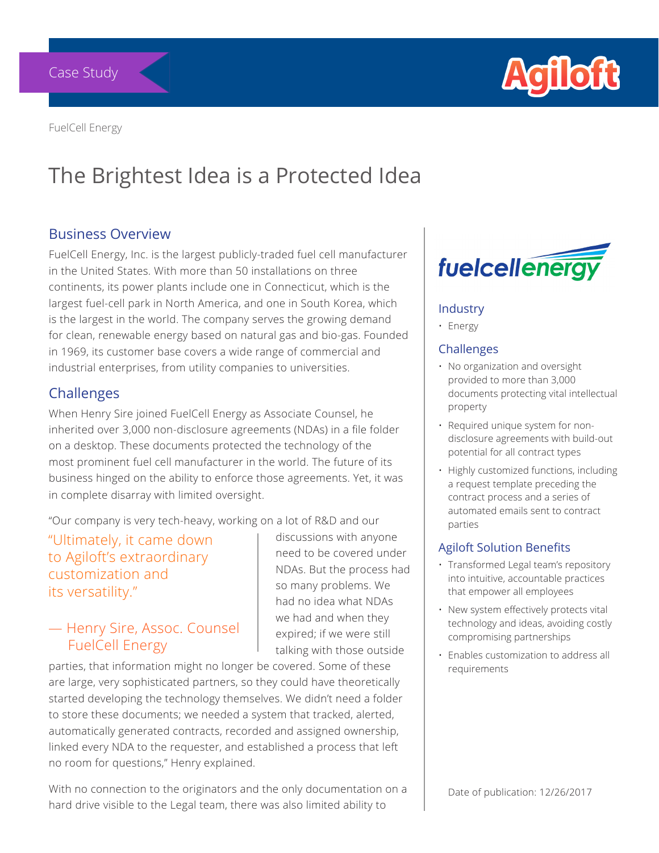

FuelCell Energy

# The Brightest Idea is a Protected Idea

#### Business Overview

FuelCell Energy, Inc. is the largest publicly-traded fuel cell manufacturer in the United States. With more than 50 installations on three continents, its power plants include one in Connecticut, which is the largest fuel-cell park in North America, and one in South Korea, which is the largest in the world. The company serves the growing demand for clean, renewable energy based on natural gas and bio-gas. Founded in 1969, its customer base covers a wide range of commercial and industrial enterprises, from utility companies to universities.

#### **Challenges**

When Henry Sire joined FuelCell Energy as Associate Counsel, he inherited over 3,000 non-disclosure agreements (NDAs) in a file folder on a desktop. These documents protected the technology of the most prominent fuel cell manufacturer in the world. The future of its business hinged on the ability to enforce those agreements. Yet, it was in complete disarray with limited oversight.

"Our company is very tech-heavy, working on a lot of R&D and our

"Ultimately, it came down to Agiloft's extraordinary customization and its versatility."

#### — Henry Sire, Assoc. Counsel FuelCell Energy

discussions with anyone need to be covered under NDAs. But the process had so many problems. We had no idea what NDAs we had and when they expired; if we were still talking with those outside

parties, that information might no longer be covered. Some of these are large, very sophisticated partners, so they could have theoretically started developing the technology themselves. We didn't need a folder to store these documents; we needed a system that tracked, alerted, automatically generated contracts, recorded and assigned ownership, linked every NDA to the requester, and established a process that left no room for questions," Henry explained.

With no connection to the originators and the only documentation on a hard drive visible to the Legal team, there was also limited ability to



#### Industry

• Energy

#### Challenges

- No organization and oversight provided to more than 3,000 documents protecting vital intellectual property
- Required unique system for nondisclosure agreements with build-out potential for all contract types
- Highly customized functions, including a request template preceding the contract process and a series of automated emails sent to contract parties

#### Agiloft Solution Benefits

- Transformed Legal team's repository into intuitive, accountable practices that empower all employees
- New system effectively protects vital technology and ideas, avoiding costly compromising partnerships
- Enables customization to address all requirements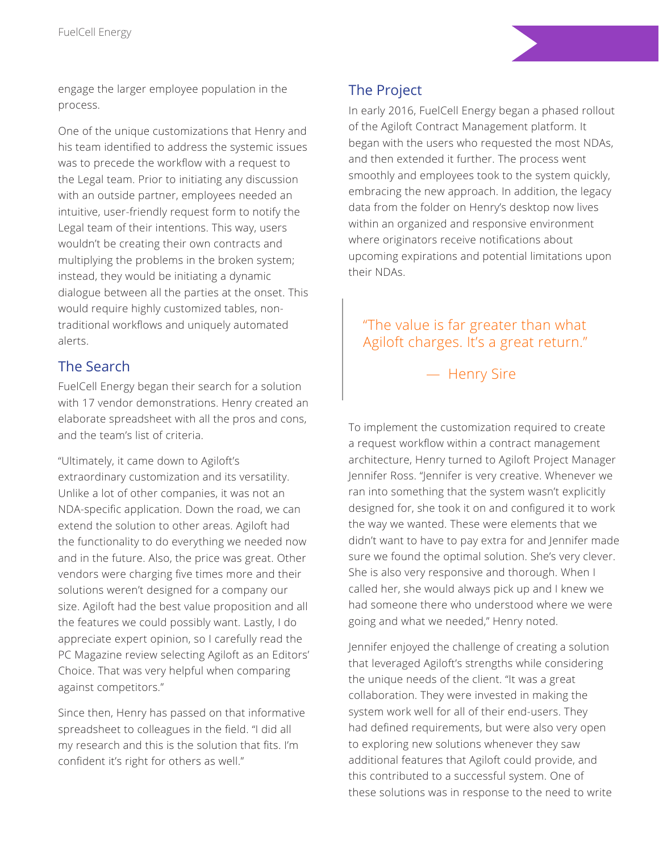engage the larger employee population in the process.

One of the unique customizations that Henry and his team identified to address the systemic issues was to precede the workflow with a request to the Legal team. Prior to initiating any discussion with an outside partner, employees needed an intuitive, user-friendly request form to notify the Legal team of their intentions. This way, users wouldn't be creating their own contracts and multiplying the problems in the broken system; instead, they would be initiating a dynamic dialogue between all the parties at the onset. This would require highly customized tables, nontraditional workflows and uniquely automated alerts.

## The Search

FuelCell Energy began their search for a solution with 17 vendor demonstrations. Henry created an elaborate spreadsheet with all the pros and cons, and the team's list of criteria.

"Ultimately, it came down to Agiloft's extraordinary customization and its versatility. Unlike a lot of other companies, it was not an NDA-specific application. Down the road, we can extend the solution to other areas. Agiloft had the functionality to do everything we needed now and in the future. Also, the price was great. Other vendors were charging five times more and their solutions weren't designed for a company our size. Agiloft had the best value proposition and all the features we could possibly want. Lastly, I do appreciate expert opinion, so I carefully read the PC Magazine review selecting Agiloft as an Editors' Choice. That was very helpful when comparing against competitors."

Since then, Henry has passed on that informative spreadsheet to colleagues in the field. "I did all my research and this is the solution that fits. I'm confident it's right for others as well."

# The Project

In early 2016, FuelCell Energy began a phased rollout of the Agiloft Contract Management platform. It began with the users who requested the most NDAs, and then extended it further. The process went smoothly and employees took to the system quickly, embracing the new approach. In addition, the legacy data from the folder on Henry's desktop now lives within an organized and responsive environment where originators receive notifications about upcoming expirations and potential limitations upon their NDAs.

# "The value is far greater than what Agiloft charges. It's a great return."

— Henry Sire

To implement the customization required to create a request workflow within a contract management architecture, Henry turned to Agiloft Project Manager Jennifer Ross. "Jennifer is very creative. Whenever we ran into something that the system wasn't explicitly designed for, she took it on and configured it to work the way we wanted. These were elements that we didn't want to have to pay extra for and Jennifer made sure we found the optimal solution. She's very clever. She is also very responsive and thorough. When I called her, she would always pick up and I knew we had someone there who understood where we were going and what we needed," Henry noted.

Jennifer enjoyed the challenge of creating a solution that leveraged Agiloft's strengths while considering the unique needs of the client. "It was a great collaboration. They were invested in making the system work well for all of their end-users. They had defined requirements, but were also very open to exploring new solutions whenever they saw additional features that Agiloft could provide, and this contributed to a successful system. One of these solutions was in response to the need to write